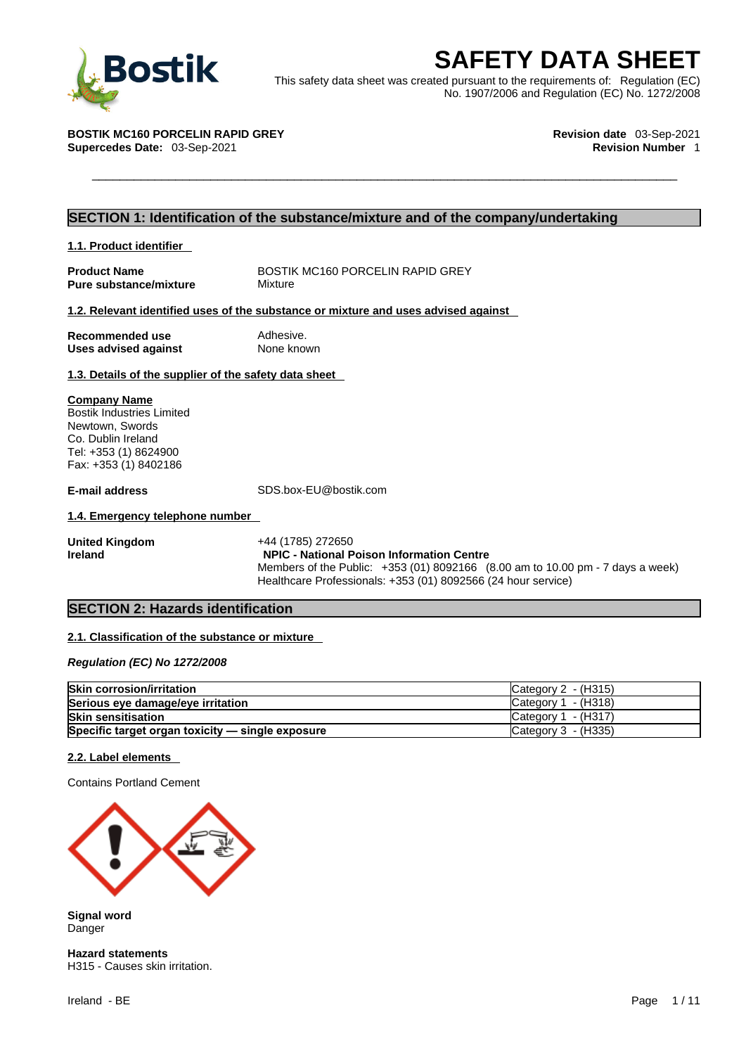

**BOStik**<br>
This safety data sheet was created pursuant to the requirements of: Regulation (EC)<br>
No. 1907/2006 and Regulation (EC) No. 1272/2008<br>
TIK MC160 PORCELIN RAPID GREY<br>
Revision date 03-Sep-2021<br>
Revision Number 1 This safety data sheet was created pursuant to the requirements of: Regulation (EC) No. 1907/2006 and Regulation (EC) No. 1272/2008

**BOSTIK MC160 PORCELIN RAPID GREY Revision date** 03-Sep-2021 **Supercedes Date: 03-Sep-2021** 

### **SECTION 1: Identification of the substance/mixture and of the company/undertaking**

| 1.1. Product identifier |  |  |
|-------------------------|--|--|
|-------------------------|--|--|

**Product Name** BOSTIK MC160 PORCELIN RAPID GREY **Pure substance/mixture** Mixture

#### **1.2. Relevant identified uses of the substance or mixture and uses advised against**

| Recommended use             | Adhesive.  |
|-----------------------------|------------|
| <b>Uses advised against</b> | None known |

#### **1.3. Details of the supplier of the safety data sheet**

#### **Company Name**

Bostik Industries Limited Newtown, Swords Co. Dublin Ireland Tel: +353 (1) 8624900 Fax: +353 (1) 8402186

**E-mail address** SDS.box-EU@bostik.com

#### **1.4. Emergency telephone number**

**United Kingdom** +44 (1785) 272650 **Ireland NPIC - National Poison Information Centre** Members of the Public: +353 (01) 8092166 (8.00 am to 10.00 pm - 7 days a week) Healthcare Professionals: +353 (01) 8092566 (24 hour service)

#### **SECTION 2: Hazards identification**

#### **2.1. Classification of the substance or mixture**

*Regulation (EC) No 1272/2008* 

| <b>Skin corrosion/irritation</b>                 | $\textsf{C}$ ategory 2 - (H315)          |
|--------------------------------------------------|------------------------------------------|
| Serious eye damage/eye irritation                | $\textsf{C}\textup{a}$ tegory 1 - (H318) |
| <b>Skin sensitisation</b>                        | $\textsf{C}$ ategory 1 - (H317)          |
| Specific target organ toxicity - single exposure | Category $3$ - (H335)                    |

#### **2.2. Label elements**

Contains Portland Cement



**Signal word Danger** 

**Hazard statements** H315 - Causes skin irritation.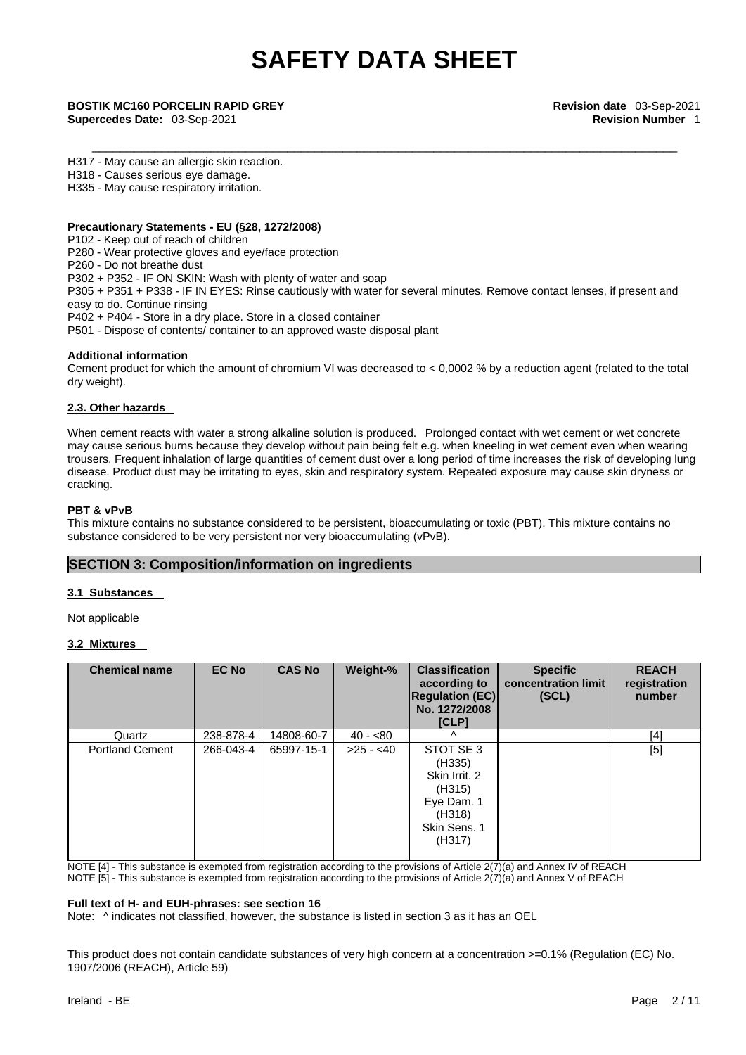**Supercedes Date:** 03-Sep-2021 **Revision Number** 1

#### H317 - May cause an allergic skin reaction.

H318 - Causes serious eye damage.

H335 - May cause respiratory irritation.

#### **Precautionary Statements - EU (§28, 1272/2008)**

P102 - Keep out of reach of children P280 - Wear protective gloves and eye/face protection

P260 - Do not breathe dust

P302 + P352 - IF ON SKIN: Wash with plenty of water and soap

P305 + P351 + P338 - IF IN EYES: Rinse cautiously with water for several minutes. Remove contact lenses, if present and easy to do. Continue rinsing

P402 + P404 - Store in a dry place. Store in a closed container

P501 - Dispose of contents/ container to an approved waste disposal plant

#### **Additional information**

Cement product for which the amount of chromium VI was decreased to  $< 0.0002$  % by a reduction agent (related to the total dry weight).

#### **2.3. Other hazards**

When cement reacts with water a strong alkaline solution is produced. Prolonged contact with wet cement or wet concrete may cause serious burns because they develop without pain being felt e.g. when kneeling in wet cement even when wearing trousers. Frequent inhalation of large quantities of cement dust over a long period of time increases the risk of developing lung disease. Product dust may be irritating to eyes, skin and respiratory system. Repeated exposure may cause skin dryness or cracking.

#### **PBT & vPvB**

This mixture contains no substance considered to be persistent, bioaccumulating or toxic (PBT). This mixture contains no substance considered to be very persistent nor very bioaccumulating (vPvB).

#### **SECTION 3: Composition/information on ingredients**

#### **3.1 Substances**

Not applicable

#### **3.2 Mixtures**

| <b>Chemical name</b>   | <b>EC No</b> | <b>CAS No</b> | Weight-%   | <b>Classification</b><br>according to<br><b>Regulation (EC)</b><br>No. 1272/2008<br>[CLP]        | <b>Specific</b><br>concentration limit<br>(SCL) | <b>REACH</b><br>registration<br>number |
|------------------------|--------------|---------------|------------|--------------------------------------------------------------------------------------------------|-------------------------------------------------|----------------------------------------|
| Quartz                 | 238-878-4    | 14808-60-7    | $40 - 80$  | Λ                                                                                                |                                                 | [4]                                    |
| <b>Portland Cement</b> | 266-043-4    | 65997-15-1    | $>25 - 40$ | STOT SE 3<br>(H335)<br>Skin Irrit, 2<br>(H315)<br>Eye Dam. 1<br>(H318)<br>Skin Sens, 1<br>(H317) |                                                 | [5]                                    |

NOTE [4] - This substance is exempted from registration according to the provisions of Article 2(7)(a) and Annex IV of REACH NOTE [5] - This substance is exempted from registration according to the provisions of Article 2(7)(a) and Annex V of REACH

#### **Full text of H- and EUH-phrases: see section 16**

Note:  $\wedge$  indicates not classified, however, the substance is listed in section 3 as it has an OEL

This product does not contain candidate substances of very high concern at a concentration >=0.1% (Regulation (EC) No. 1907/2006 (REACH), Article 59)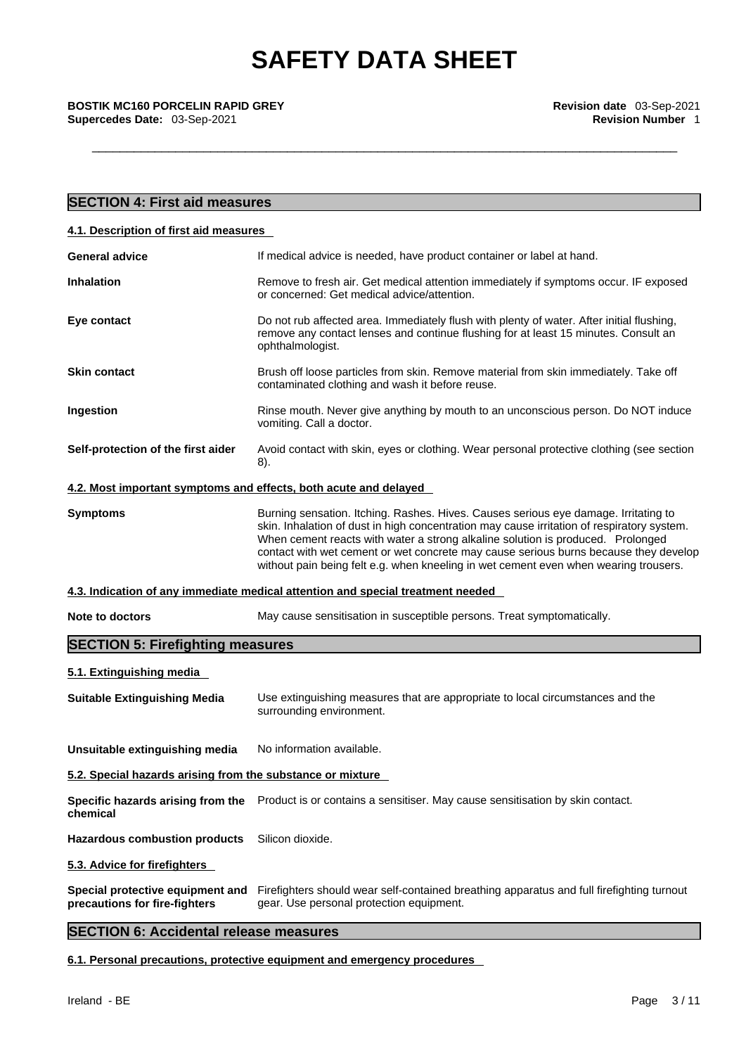**Supercedes Date: 03-Sep-2021** 

| <b>SECTION 4: First aid measures</b>                              |                                                                                                                                                                                                                                                                                                                                                                                                                                                      |
|-------------------------------------------------------------------|------------------------------------------------------------------------------------------------------------------------------------------------------------------------------------------------------------------------------------------------------------------------------------------------------------------------------------------------------------------------------------------------------------------------------------------------------|
| 4.1. Description of first aid measures                            |                                                                                                                                                                                                                                                                                                                                                                                                                                                      |
| <b>General advice</b>                                             | If medical advice is needed, have product container or label at hand.                                                                                                                                                                                                                                                                                                                                                                                |
| <b>Inhalation</b>                                                 | Remove to fresh air. Get medical attention immediately if symptoms occur. IF exposed<br>or concerned: Get medical advice/attention.                                                                                                                                                                                                                                                                                                                  |
| Eye contact                                                       | Do not rub affected area. Immediately flush with plenty of water. After initial flushing,<br>remove any contact lenses and continue flushing for at least 15 minutes. Consult an<br>ophthalmologist.                                                                                                                                                                                                                                                 |
| <b>Skin contact</b>                                               | Brush off loose particles from skin. Remove material from skin immediately. Take off<br>contaminated clothing and wash it before reuse.                                                                                                                                                                                                                                                                                                              |
| Ingestion                                                         | Rinse mouth. Never give anything by mouth to an unconscious person. Do NOT induce<br>vomiting. Call a doctor.                                                                                                                                                                                                                                                                                                                                        |
| Self-protection of the first aider                                | Avoid contact with skin, eyes or clothing. Wear personal protective clothing (see section<br>8).                                                                                                                                                                                                                                                                                                                                                     |
| 4.2. Most important symptoms and effects, both acute and delayed  |                                                                                                                                                                                                                                                                                                                                                                                                                                                      |
| <b>Symptoms</b>                                                   | Burning sensation. Itching. Rashes. Hives. Causes serious eye damage. Irritating to<br>skin. Inhalation of dust in high concentration may cause irritation of respiratory system.<br>When cement reacts with water a strong alkaline solution is produced. Prolonged<br>contact with wet cement or wet concrete may cause serious burns because they develop<br>without pain being felt e.g. when kneeling in wet cement even when wearing trousers. |
|                                                                   | 4.3. Indication of any immediate medical attention and special treatment needed                                                                                                                                                                                                                                                                                                                                                                      |
| <b>Note to doctors</b>                                            | May cause sensitisation in susceptible persons. Treat symptomatically.                                                                                                                                                                                                                                                                                                                                                                               |
| <b>SECTION 5: Firefighting measures</b>                           |                                                                                                                                                                                                                                                                                                                                                                                                                                                      |
| 5.1. Extinguishing media                                          |                                                                                                                                                                                                                                                                                                                                                                                                                                                      |
| <b>Suitable Extinguishing Media</b>                               | Use extinguishing measures that are appropriate to local circumstances and the<br>surrounding environment.                                                                                                                                                                                                                                                                                                                                           |
| Unsuitable extinguishing media                                    | No information available.                                                                                                                                                                                                                                                                                                                                                                                                                            |
| 5.2. Special hazards arising from the substance or mixture        |                                                                                                                                                                                                                                                                                                                                                                                                                                                      |
| Specific hazards arising from the<br>chemical                     | Product is or contains a sensitiser. May cause sensitisation by skin contact.                                                                                                                                                                                                                                                                                                                                                                        |
| <b>Hazardous combustion products</b>                              | Silicon dioxide.                                                                                                                                                                                                                                                                                                                                                                                                                                     |
| 5.3. Advice for firefighters                                      |                                                                                                                                                                                                                                                                                                                                                                                                                                                      |
| Special protective equipment and<br>precautions for fire-fighters | Firefighters should wear self-contained breathing apparatus and full firefighting turnout<br>gear. Use personal protection equipment.                                                                                                                                                                                                                                                                                                                |

## **SECTION 6: Accidental release measures**

**6.1. Personal precautions, protective equipment and emergency procedures**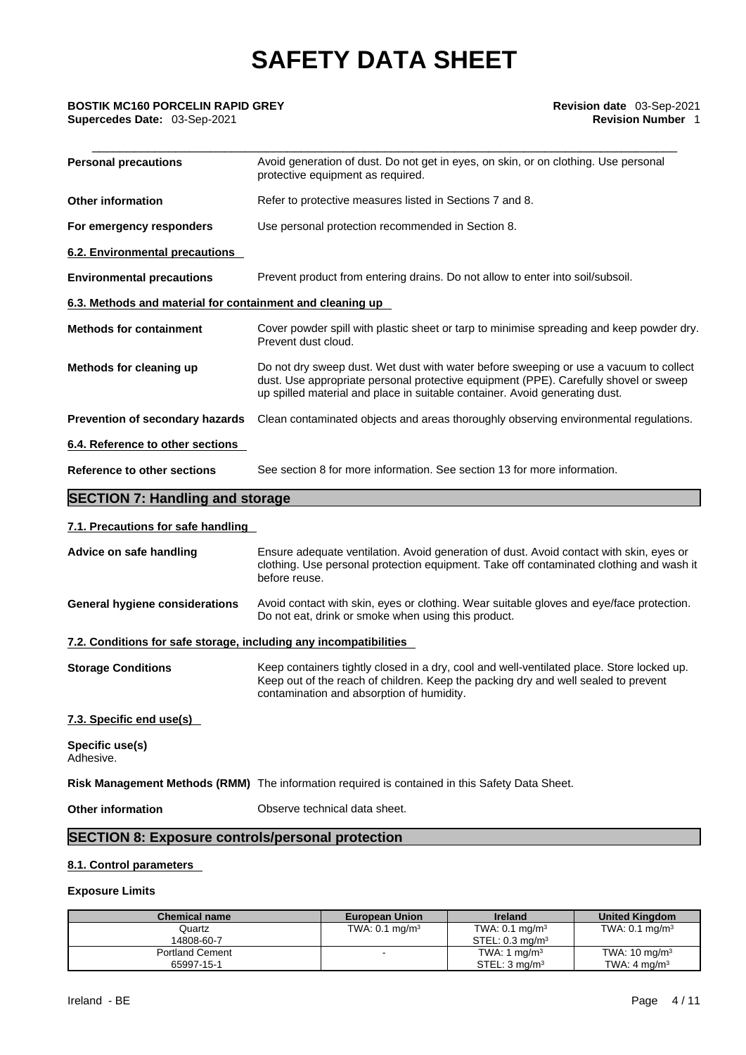| <b>Personal precautions</b>                               | Avoid generation of dust. Do not get in eyes, on skin, or on clothing. Use personal<br>protective equipment as required.                                                                                                                                     |
|-----------------------------------------------------------|--------------------------------------------------------------------------------------------------------------------------------------------------------------------------------------------------------------------------------------------------------------|
| <b>Other information</b>                                  | Refer to protective measures listed in Sections 7 and 8.                                                                                                                                                                                                     |
| For emergency responders                                  | Use personal protection recommended in Section 8.                                                                                                                                                                                                            |
| 6.2. Environmental precautions                            |                                                                                                                                                                                                                                                              |
| <b>Environmental precautions</b>                          | Prevent product from entering drains. Do not allow to enter into soil/subsoil.                                                                                                                                                                               |
| 6.3. Methods and material for containment and cleaning up |                                                                                                                                                                                                                                                              |
| <b>Methods for containment</b>                            | Cover powder spill with plastic sheet or tarp to minimise spreading and keep powder dry.<br>Prevent dust cloud.                                                                                                                                              |
| Methods for cleaning up                                   | Do not dry sweep dust. Wet dust with water before sweeping or use a vacuum to collect<br>dust. Use appropriate personal protective equipment (PPE). Carefully shovel or sweep<br>up spilled material and place in suitable container. Avoid generating dust. |
| Prevention of secondary hazards                           | Clean contaminated objects and areas thoroughly observing environmental regulations.                                                                                                                                                                         |
| 6.4. Reference to other sections                          |                                                                                                                                                                                                                                                              |
| Reference to other sections                               | See section 8 for more information. See section 13 for more information.                                                                                                                                                                                     |

## **SECTION 7: Handling and storage**

#### **7.1. Precautions for safe handling**

| Advice on safe handling                                           | Ensure adequate ventilation. Avoid generation of dust. Avoid contact with skin, eyes or<br>clothing. Use personal protection equipment. Take off contaminated clothing and wash it<br>before reuse.                          |
|-------------------------------------------------------------------|------------------------------------------------------------------------------------------------------------------------------------------------------------------------------------------------------------------------------|
| General hygiene considerations                                    | Avoid contact with skin, eyes or clothing. Wear suitable gloves and eye/face protection.<br>Do not eat, drink or smoke when using this product.                                                                              |
| 7.2. Conditions for safe storage, including any incompatibilities |                                                                                                                                                                                                                              |
| <b>Storage Conditions</b>                                         | Keep containers tightly closed in a dry, cool and well-ventilated place. Store locked up.<br>Keep out of the reach of children. Keep the packing dry and well sealed to prevent<br>contamination and absorption of humidity. |
| 7.3. Specific end use(s)                                          |                                                                                                                                                                                                                              |
| Specific use(s)<br>Adhesive.                                      |                                                                                                                                                                                                                              |
|                                                                   | Risk Management Methods (RMM) The information required is contained in this Safety Data Sheet.                                                                                                                               |
| <b>Other information</b>                                          | Observe technical data sheet.                                                                                                                                                                                                |
|                                                                   |                                                                                                                                                                                                                              |

## **SECTION 8: Exposure controls/personal protection**

## **8.1. Control parameters**

#### **Exposure Limits**

| <b>Chemical name</b>   | <b>European Union</b>     | <b>Ireland</b>                | <b>United Kingdom</b>     |
|------------------------|---------------------------|-------------------------------|---------------------------|
| Quartz                 | TWA: $0.1 \text{ mg/m}^3$ | TWA: $0.1 \text{ mg/m}^3$     | TWA: $0.1 \text{ mg/m}^3$ |
| 14808-60-7             |                           | $STEL: 0.3$ mg/m <sup>3</sup> |                           |
| <b>Portland Cement</b> |                           | TWA: 1 $mq/m3$                | TWA: $10 \text{ mg/m}^3$  |
| 65997-15-1             |                           | STEL: 3 ma/m <sup>3</sup>     | TWA: $4 \text{ ma/m}^3$   |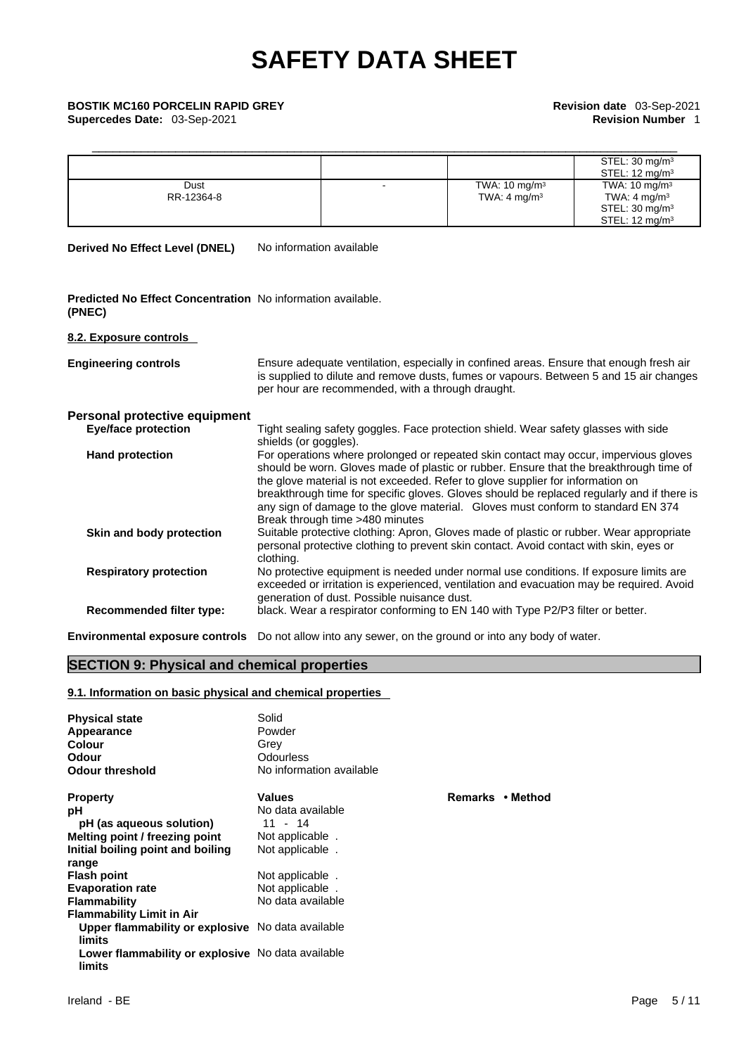## **Supercedes Date:** 03-Sep-2021 **Revision Number 1**

| <b>BOSTIK MC160 PORCELIN RAPID GREY</b><br>Supercedes Date: 03-Sep-2021 |  | Revision date 03-Sep-2021<br><b>Revision Number 1</b> |                                                                                                               |  |
|-------------------------------------------------------------------------|--|-------------------------------------------------------|---------------------------------------------------------------------------------------------------------------|--|
|                                                                         |  |                                                       | STEL: $30 \text{ mg/m}^3$<br>STEL: $12 \text{ mg/m}^3$                                                        |  |
| Dust<br>RR-12364-8                                                      |  | TWA: $10 \text{ mg/m}^3$<br>TWA: $4 \text{ mg/m}^3$   | TWA: $10 \text{ mg/m}^3$<br>TWA: $4 \text{ mg/m}^3$<br>STEL: $30 \text{ mg/m}^3$<br>STEL: $12 \text{ mg/m}^3$ |  |

**Derived No Effect Level (DNEL)** No information available

**Predicted No Effect Concentration** No information available. **(PNEC)** 

#### **8.2. Exposure controls**

| <b>Engineering controls</b>   | Ensure adequate ventilation, especially in confined areas. Ensure that enough fresh air<br>is supplied to dilute and remove dusts, fumes or vapours. Between 5 and 15 air changes<br>per hour are recommended, with a through draught.                                                                                                                                                                                                                                                |
|-------------------------------|---------------------------------------------------------------------------------------------------------------------------------------------------------------------------------------------------------------------------------------------------------------------------------------------------------------------------------------------------------------------------------------------------------------------------------------------------------------------------------------|
| Personal protective equipment |                                                                                                                                                                                                                                                                                                                                                                                                                                                                                       |
| <b>Eye/face protection</b>    | Tight sealing safety goggles. Face protection shield. Wear safety glasses with side<br>shields (or goggles).                                                                                                                                                                                                                                                                                                                                                                          |
| <b>Hand protection</b>        | For operations where prolonged or repeated skin contact may occur, impervious gloves<br>should be worn. Gloves made of plastic or rubber. Ensure that the breakthrough time of<br>the glove material is not exceeded. Refer to glove supplier for information on<br>breakthrough time for specific gloves. Gloves should be replaced regularly and if there is<br>any sign of damage to the glove material. Gloves must conform to standard EN 374<br>Break through time >480 minutes |
| Skin and body protection      | Suitable protective clothing: Apron, Gloves made of plastic or rubber. Wear appropriate<br>personal protective clothing to prevent skin contact. Avoid contact with skin, eyes or<br>clothing.                                                                                                                                                                                                                                                                                        |
| <b>Respiratory protection</b> | No protective equipment is needed under normal use conditions. If exposure limits are<br>exceeded or irritation is experienced, ventilation and evacuation may be required. Avoid<br>generation of dust. Possible nuisance dust.                                                                                                                                                                                                                                                      |
| Recommended filter type:      | black. Wear a respirator conforming to EN 140 with Type P2/P3 filter or better.                                                                                                                                                                                                                                                                                                                                                                                                       |
|                               |                                                                                                                                                                                                                                                                                                                                                                                                                                                                                       |

**Environmental exposure controls** Do not allow into any sewer, on the ground or into any body of water.

## **SECTION 9: Physical and chemical properties**

#### **9.1. Information on basic physical and chemical properties**

| <b>Physical state</b><br>Appearance<br>Colour<br>Odour<br><b>Odour threshold</b> | Solid<br>Powder<br>Grey<br>Odourless<br>No information available |                  |
|----------------------------------------------------------------------------------|------------------------------------------------------------------|------------------|
| <b>Property</b>                                                                  | <b>Values</b>                                                    | Remarks • Method |
| рH                                                                               | No data available                                                |                  |
| pH (as aqueous solution)                                                         | $11 - 14$                                                        |                  |
| Melting point / freezing point                                                   | Not applicable.                                                  |                  |
| Initial boiling point and boiling                                                | Not applicable                                                   |                  |
| range                                                                            |                                                                  |                  |
| <b>Flash point</b>                                                               | Not applicable.                                                  |                  |
| <b>Evaporation rate</b>                                                          | Not applicable.                                                  |                  |
| <b>Flammability</b>                                                              | No data available                                                |                  |
| <b>Flammability Limit in Air</b>                                                 |                                                                  |                  |
| Upper flammability or explosive No data available                                |                                                                  |                  |
| limits                                                                           |                                                                  |                  |
| Lower flammability or explosive No data available<br>limits                      |                                                                  |                  |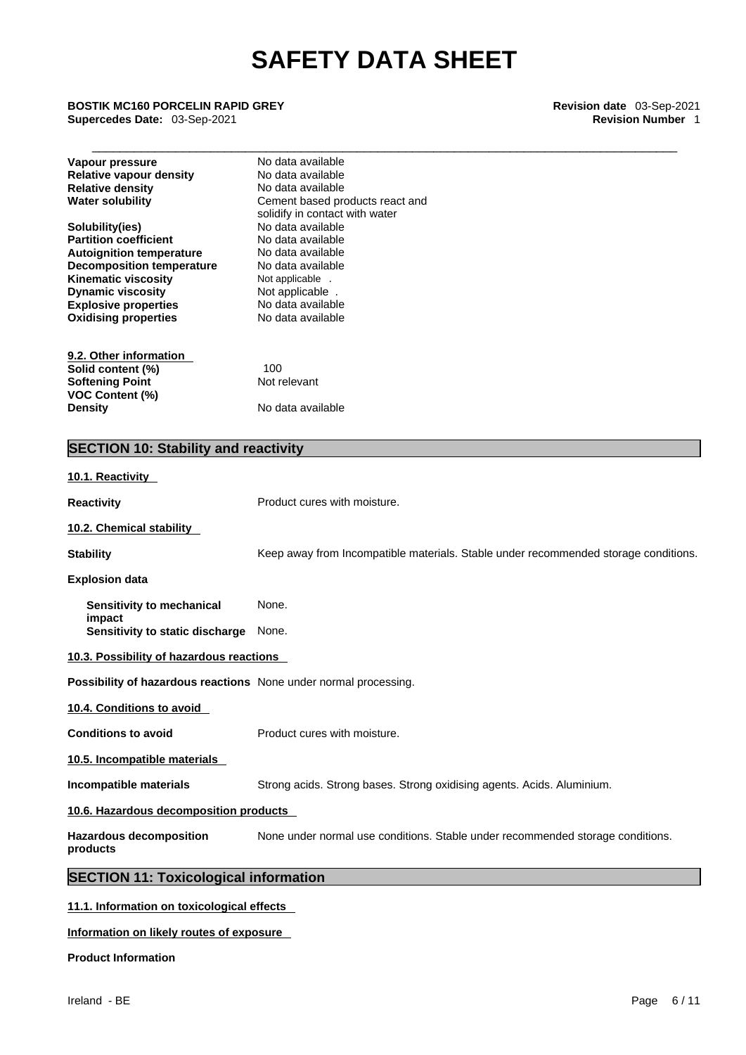### \_\_\_\_\_\_\_\_\_\_\_\_\_\_\_\_\_\_\_\_\_\_\_\_\_\_\_\_\_\_\_\_\_\_\_\_\_\_\_\_\_\_\_\_\_\_\_\_\_\_\_\_\_\_\_\_\_\_\_\_\_\_\_\_\_\_\_\_\_\_\_\_\_\_\_\_\_\_\_\_\_\_\_\_ **BOSTIK MC160 PORCELIN RAPID GREY Revision date** 03-Sep-2021 **Supercedes Date: 03-Sep-2021**

| Keep away from Incompatible materials. Stable under recommended storage conditions. |
|-------------------------------------------------------------------------------------|
|                                                                                     |
|                                                                                     |
|                                                                                     |
|                                                                                     |
|                                                                                     |
|                                                                                     |
|                                                                                     |
|                                                                                     |
|                                                                                     |
|                                                                                     |
| None under normal use conditions. Stable under recommended storage conditions.      |
|                                                                                     |
|                                                                                     |
|                                                                                     |

**Information on likely routes of exposure**

**Product Information**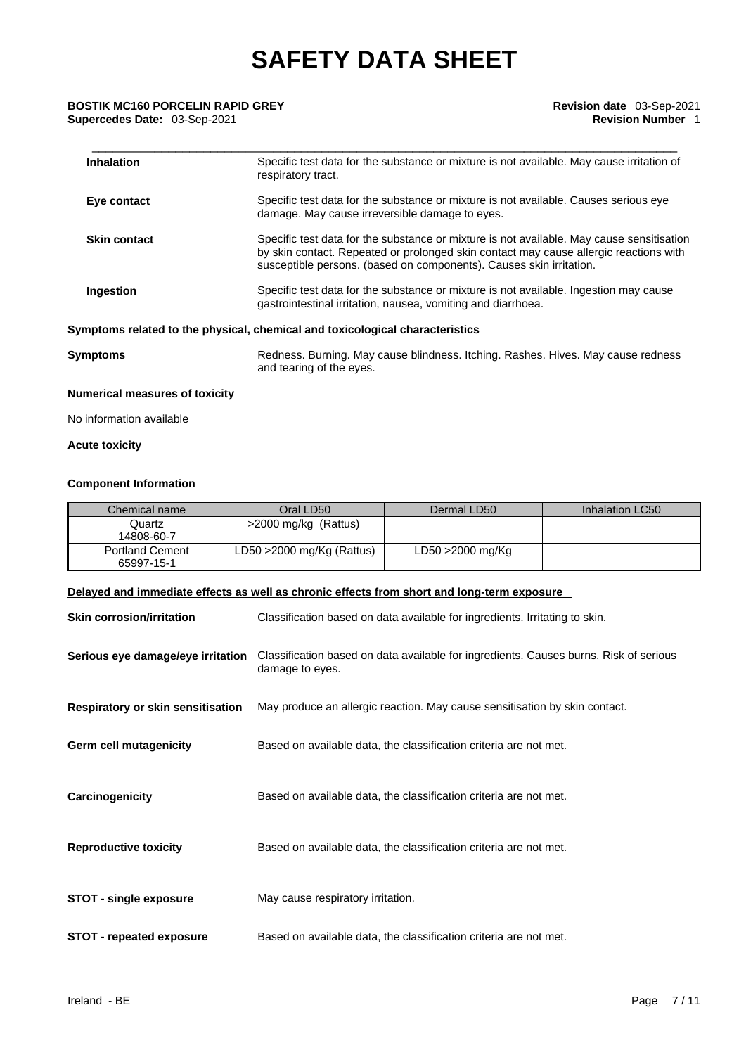### \_\_\_\_\_\_\_\_\_\_\_\_\_\_\_\_\_\_\_\_\_\_\_\_\_\_\_\_\_\_\_\_\_\_\_\_\_\_\_\_\_\_\_\_\_\_\_\_\_\_\_\_\_\_\_\_\_\_\_\_\_\_\_\_\_\_\_\_\_\_\_\_\_\_\_\_\_\_\_\_\_\_\_\_ **BOSTIK MC160 PORCELIN RAPID GREY Revision date** 03-Sep-2021 **Supercedes Date: 03-Sep-2021**

| <b>Inhalation</b>   | Specific test data for the substance or mixture is not available. May cause irritation of<br>respiratory tract.                                                                                                                                           |
|---------------------|-----------------------------------------------------------------------------------------------------------------------------------------------------------------------------------------------------------------------------------------------------------|
| Eye contact         | Specific test data for the substance or mixture is not available. Causes serious eye<br>damage. May cause irreversible damage to eyes.                                                                                                                    |
| <b>Skin contact</b> | Specific test data for the substance or mixture is not available. May cause sensitisation<br>by skin contact. Repeated or prolonged skin contact may cause allergic reactions with<br>susceptible persons. (based on components). Causes skin irritation. |
| Ingestion           | Specific test data for the substance or mixture is not available. Ingestion may cause<br>gastrointestinal irritation, nausea, vomiting and diarrhoea.                                                                                                     |
|                     | Symptoms related to the physical, chemical and toxicological characteristics                                                                                                                                                                              |
| Symptoms            | Redness. Burning. May cause blindness. Itching. Rashes. Hives. May cause redness<br>and tearing of the eyes.                                                                                                                                              |

#### **Numerical measures of toxicity**

No information available

### **Acute toxicity**

#### **Component Information**

| Chemical name                                                                              | Oral LD50                                                         | Dermal LD50                                                                           | Inhalation LC50 |
|--------------------------------------------------------------------------------------------|-------------------------------------------------------------------|---------------------------------------------------------------------------------------|-----------------|
| Quartz<br>14808-60-7                                                                       | >2000 mg/kg (Rattus)                                              |                                                                                       |                 |
| <b>Portland Cement</b><br>65997-15-1                                                       | LD50 >2000 mg/Kg (Rattus)                                         | LD50 >2000 mg/Kg                                                                      |                 |
| Delayed and immediate effects as well as chronic effects from short and long-term exposure |                                                                   |                                                                                       |                 |
| <b>Skin corrosion/irritation</b>                                                           |                                                                   | Classification based on data available for ingredients. Irritating to skin.           |                 |
| Serious eye damage/eye irritation                                                          | damage to eyes.                                                   | Classification based on data available for ingredients. Causes burns. Risk of serious |                 |
| Respiratory or skin sensitisation                                                          |                                                                   | May produce an allergic reaction. May cause sensitisation by skin contact.            |                 |
| <b>Germ cell mutagenicity</b>                                                              |                                                                   | Based on available data, the classification criteria are not met.                     |                 |
| Carcinogenicity                                                                            |                                                                   | Based on available data, the classification criteria are not met.                     |                 |
| <b>Reproductive toxicity</b>                                                               | Based on available data, the classification criteria are not met. |                                                                                       |                 |
| <b>STOT - single exposure</b>                                                              |                                                                   | May cause respiratory irritation.                                                     |                 |
| <b>STOT - repeated exposure</b>                                                            | Based on available data, the classification criteria are not met. |                                                                                       |                 |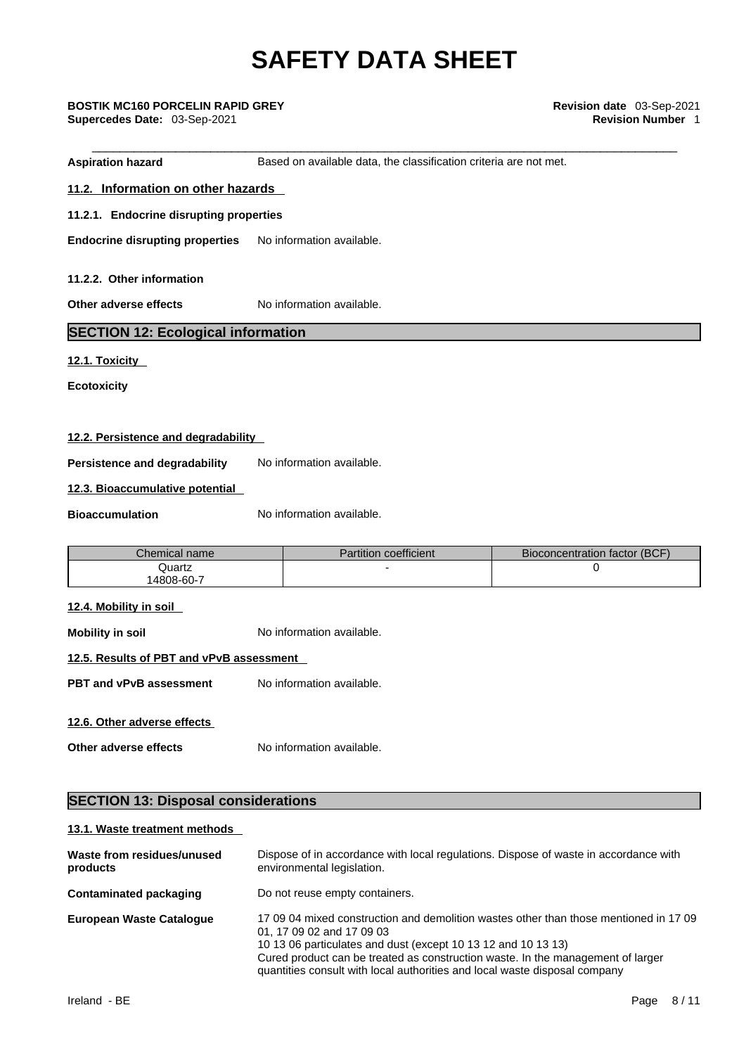**Aspiration hazard Based on available data, the classification criteria are not met. 11.2. Information on other hazards 11.2.1. Endocrine disrupting properties Endocrine disrupting properties** No information available. **11.2.2. Other information** 

**Other adverse effects** No information available.

## **SECTION 12: Ecological information**

### **12.1. Toxicity**

**Ecotoxicity** 

### **12.2. Persistence and degradability**

**Persistence and degradability** No information available.

### **12.3. Bioaccumulative potential**

**Bioaccumulation** No information available.

| Chemical name | Partition coefficient | Bioconcentration factor (BCF) |
|---------------|-----------------------|-------------------------------|
| Quartz        |                       |                               |
| 4808-60-7     |                       |                               |

#### **12.4. Mobility in soil**

**Mobility in soil** No information available.

#### **12.5. Results of PBT and vPvB assessment**

**PBT** and **vPvB** assessment No information available.

### **12.6. Other adverse effects**

**Other adverse effects** No information available.

### **SECTION 13: Disposal considerations**

#### **13.1. Waste treatment methods**

| Waste from residues/unused<br>products | Dispose of in accordance with local regulations. Dispose of waste in accordance with<br>environmental legislation.                                                                                                                                                                                                                                   |  |
|----------------------------------------|------------------------------------------------------------------------------------------------------------------------------------------------------------------------------------------------------------------------------------------------------------------------------------------------------------------------------------------------------|--|
| Contaminated packaging                 | Do not reuse empty containers.                                                                                                                                                                                                                                                                                                                       |  |
| <b>European Waste Cataloque</b>        | 17 09 04 mixed construction and demolition wastes other than those mentioned in 17 09<br>01, 17 09 02 and 17 09 03<br>10 13 06 particulates and dust (except 10 13 12 and 10 13 13)<br>Cured product can be treated as construction waste. In the management of larger<br>quantities consult with local authorities and local waste disposal company |  |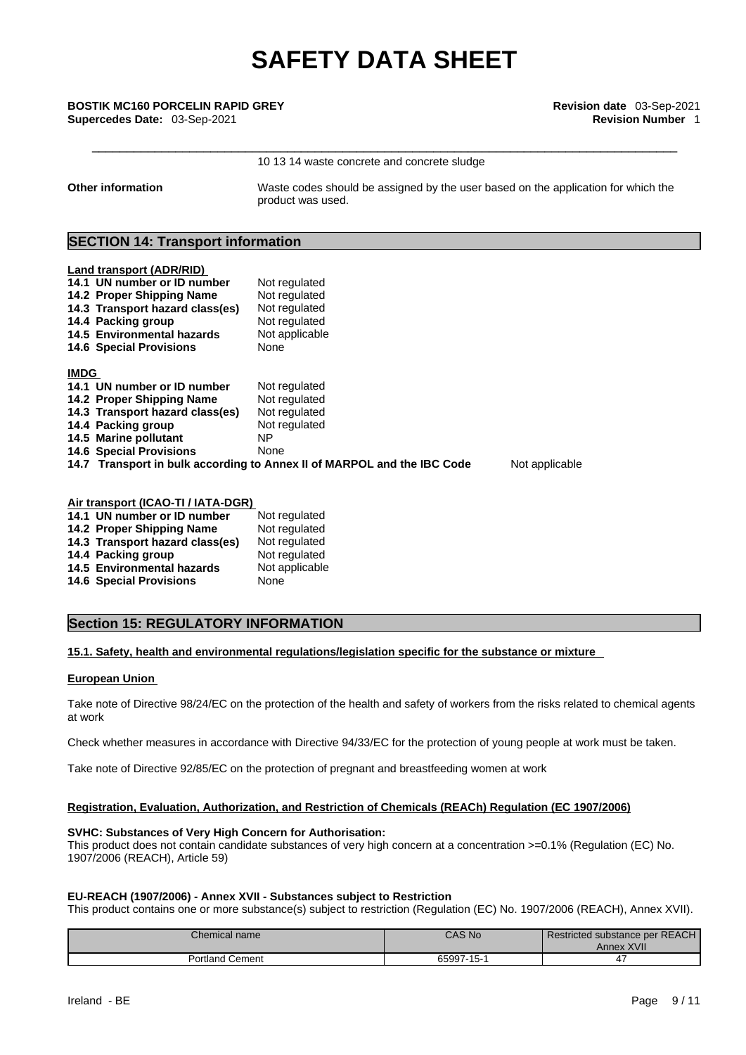**Other information** Waste codes should be assigned by the user based on the application for which the product was used.

### **SECTION 14: Transport information**

|             | Land transport (ADR/RID)                                                                                  |                                                                         |                |
|-------------|-----------------------------------------------------------------------------------------------------------|-------------------------------------------------------------------------|----------------|
|             | 14.1 UN number or ID number                                                                               | Not regulated                                                           |                |
|             | 14.2 Proper Shipping Name                                                                                 | Not regulated                                                           |                |
|             | 14.3 Transport hazard class(es)                                                                           | Not regulated                                                           |                |
|             | 14.4 Packing group                                                                                        | Not regulated                                                           |                |
|             | 14.5 Environmental hazards                                                                                | Not applicable                                                          |                |
|             | <b>14.6 Special Provisions</b>                                                                            | None                                                                    |                |
| <b>IMDG</b> |                                                                                                           |                                                                         |                |
|             | 14.1 UN number or ID number                                                                               | Not regulated                                                           |                |
|             | 14.2 Proper Shipping Name                                                                                 | Not regulated                                                           |                |
|             | 14.3 Transport hazard class(es)                                                                           | Not regulated                                                           |                |
|             | 14.4 Packing group                                                                                        | Not regulated                                                           |                |
|             | 14.5 Marine pollutant                                                                                     | NP.                                                                     |                |
|             | <b>14.6 Special Provisions</b>                                                                            | None                                                                    |                |
|             |                                                                                                           | 14.7 Transport in bulk according to Annex II of MARPOL and the IBC Code | Not applicable |
|             |                                                                                                           |                                                                         |                |
|             |                                                                                                           |                                                                         |                |
|             | $\mathbf{A}$ , and a set $\mathbf{A}$ and $\mathbf{A}$ and $\mathbf{A}$ and $\mathbf{A}$ and $\mathbf{A}$ |                                                                         |                |

| Air transport (ICAO-TI / IATA-DGR) |                |  |
|------------------------------------|----------------|--|
| 14.1 UN number or ID number        | Not regulated  |  |
| 14.2 Proper Shipping Name          | Not regulated  |  |
| 14.3 Transport hazard class(es)    | Not regulated  |  |
| 14.4 Packing group                 | Not regulated  |  |
| 14.5 Environmental hazards         | Not applicable |  |
| <b>14.6 Special Provisions</b>     | None           |  |
|                                    |                |  |

### **Section 15: REGULATORY INFORMATION**

#### **15.1. Safety, health and environmental regulations/legislation specific for the substance or mixture**

#### **European Union**

Take note of Directive 98/24/EC on the protection of the health and safety of workers from the risks related to chemical agents at work

Check whether measures in accordance with Directive 94/33/EC for the protection of young people at work must be taken.

Take note of Directive 92/85/EC on the protection of pregnant and breastfeeding women at work

#### **Registration, Evaluation, Authorization, and Restriction of Chemicals (REACh) Regulation (EC 1907/2006)**

#### **SVHC: Substances of Very High Concern for Authorisation:**

This product does not contain candidate substances of very high concern at a concentration >=0.1% (Regulation (EC) No. 1907/2006 (REACH), Article 59)

#### **EU-REACH (1907/2006) - Annex XVII - Substances subject to Restriction**

This product contains one or more substance(s) subject to restriction (Regulation (EC) No. 1907/2006 (REACH), Annex XVII).

| Chemical name          | CAS No     | Restricted substance per REACH<br>Annex XVII |
|------------------------|------------|----------------------------------------------|
| <b>Portland Cement</b> | 65997-15-1 |                                              |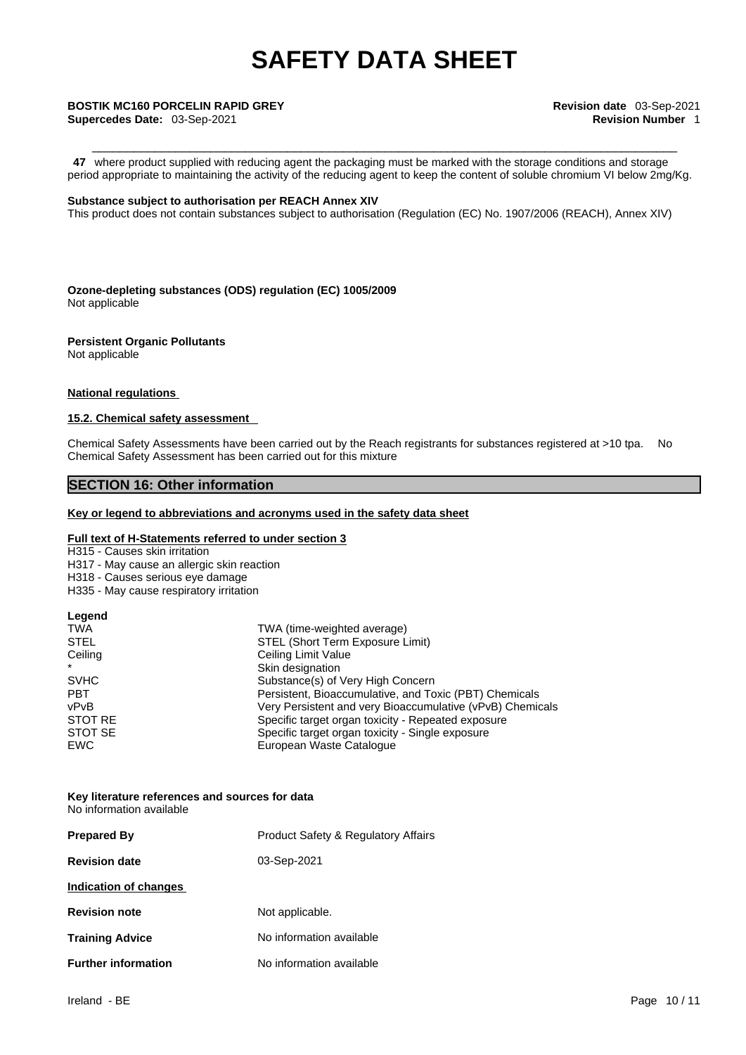**47** where product supplied with reducing agent the packaging must be marked with the storage conditions and storage period appropriate to maintaining the activity of the reducing agent to keep the content of soluble chromium VI below 2mg/Kg.

#### **Substance subject to authorisation per REACH Annex XIV**

This product does not contain substances subject to authorisation (Regulation (EC) No. 1907/2006 (REACH), Annex XIV)

**Ozone-depleting substances (ODS) regulation (EC) 1005/2009** Not applicable

**Persistent Organic Pollutants** Not applicable

#### **National regulations**

#### **15.2. Chemical safety assessment**

Chemical Safety Assessments have been carried out by the Reach registrants for substances registered at >10 tpa. No Chemical Safety Assessment has been carried out for this mixture

#### **SECTION 16: Other information**

#### **Key or legend to abbreviations and acronyms used in the safety data sheet**

#### **Full text of H-Statements referred to under section 3**

H315 - Causes skin irritation

- H317 May cause an allergic skin reaction
- H318 Causes serious eye damage
- H335 May cause respiratory irritation

#### **Legend**

| <b>TWA</b>  | TWA (time-weighted average)                               |
|-------------|-----------------------------------------------------------|
| <b>STEL</b> | STEL (Short Term Exposure Limit)                          |
| Ceiling     | Ceiling Limit Value                                       |
| $\star$     | Skin designation                                          |
| <b>SVHC</b> | Substance(s) of Very High Concern                         |
| <b>PBT</b>  | Persistent, Bioaccumulative, and Toxic (PBT) Chemicals    |
| vPvB        | Very Persistent and very Bioaccumulative (vPvB) Chemicals |
| STOT RE     | Specific target organ toxicity - Repeated exposure        |
| STOT SE     | Specific target organ toxicity - Single exposure          |
| EWC         | European Waste Catalogue                                  |

#### **Key literature references and sources for data** No information available

| <b>Prepared By</b>         | <b>Product Safety &amp; Regulatory Affairs</b> |
|----------------------------|------------------------------------------------|
| <b>Revision date</b>       | 03-Sep-2021                                    |
| Indication of changes      |                                                |
| <b>Revision note</b>       | Not applicable.                                |
| <b>Training Advice</b>     | No information available                       |
| <b>Further information</b> | No information available                       |